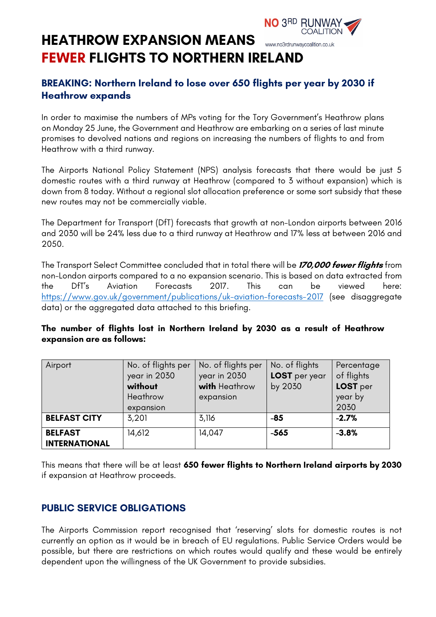#### **COALITION HEATHROW EXPANSION MEANS**  www.no3rdrunwaycoalition.co.uk **FEWER FLIGHTS TO NORTHERN IRELAND**

# **BREAKING: Northern Ireland to lose over 650 flights per year by 2030 if Heathrow expands**

**NO 3RD RUNWAY,** 

In order to maximise the numbers of MPs voting for the Tory Government's Heathrow plans on Monday 25 June, the Government and Heathrow are embarking on a series of last minute promises to devolved nations and regions on increasing the numbers of flights to and from Heathrow with a third runway.

The Airports National Policy Statement (NPS) analysis forecasts that there would be just 5 domestic routes with a third runway at Heathrow (compared to 3 without expansion) which is down from 8 today. Without a regional slot allocation preference or some sort subsidy that these new routes may not be commercially viable.

The Department for Transport (DfT) forecasts that growth at non-London airports between 2016 and 2030 will be 24% less due to a third runway at Heathrow and 17% less at between 2016 and 2050.

The Transport Select Committee concluded that in total there will be **170,000 fewer flights** from non-London airports compared to a no expansion scenario. This is based on data extracted from the DfT's Aviation Forecasts 2017. This can be viewed here: https://www.gov.uk/government/publications/uk-aviation-forecasts-2017 (see disaggregate data) or the aggregated data attached to this briefing.

#### **The number of flights lost in Northern Ireland by 2030 as a result of Heathrow expansion are as follows:**

| Airport                                | No. of flights per<br>year in 2030<br>without<br>Heathrow<br>expansion | No. of flights per<br>year in 2030<br>with Heathrow<br>expansion | No. of flights<br>LOST per year<br>by 2030 | Percentage<br>of flights<br>LOST per<br>year by<br>2030 |
|----------------------------------------|------------------------------------------------------------------------|------------------------------------------------------------------|--------------------------------------------|---------------------------------------------------------|
| <b>BELFAST CITY</b>                    | 3,201                                                                  | 3,116                                                            | $-85$                                      | $-2.7%$                                                 |
| <b>BELFAST</b><br><b>INTERNATIONAL</b> | 14,612                                                                 | 14,047                                                           | $-565$                                     | $-3.8%$                                                 |

This means that there will be at least **650 fewer flights to Northern Ireland airports by 2030** if expansion at Heathrow proceeds.

## **PUBLIC SERVICE OBLIGATIONS**

The Airports Commission report recognised that 'reserving' slots for domestic routes is not currently an option as it would be in breach of EU regulations. Public Service Orders would be possible, but there are restrictions on which routes would qualify and these would be entirely dependent upon the willingness of the UK Government to provide subsidies.